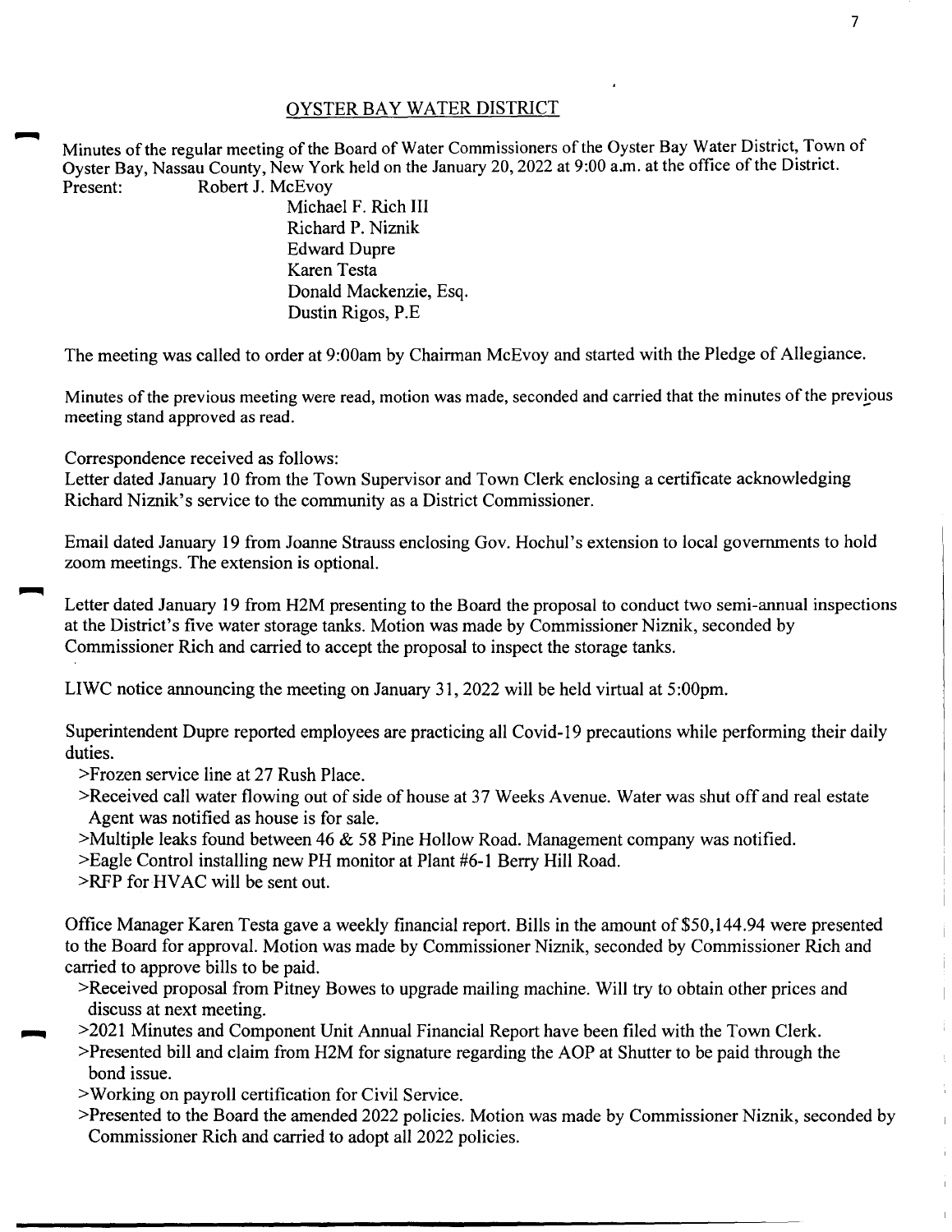## OYSTER BAY WATER DISTRICT

Minutes of the regular meeting of the Board of Water Commissioners of the Oyster Bay Water District, Town of Oyster Bay, Nassau County, New York held on the January 20,2022 at 9:00a.m. at the office of the District. Present: Robert J. McEvov

Michael F. Rich III Richard P. Niznik Edward Dupre Karen Testa Donald Mackenzie, Esq. Dustin Rigos, P.E

The meeting was called to order at 9:00am by Chairman McEvoy and started with the Pledge of Allegiance.

Minutes of the previous meeting were read, motion was made, seconded and carried that the minutes of the previous meeting stand approved as read.

Correspondence received as follows:

Letter dated January 10 from the Town Supervisor and Town Clerk enclosing a certificate acknowledging Richard Niznik's service to the community as a District Commissioner.

Email dated January 19 from Joanne Strauss enclosing Gov. Hochul's extension to local governments to hold zoom meetings. The extension is optional.

Letter dated January 19 from H2M presenting to the Board the proposal to conduct two semi-annual inspections at the District's five water storage tanks. Motion was made by Commissioner Niznik, seconded by Commissioner Rich and carried to accept the proposal to inspect the storage tanks.

LIWC notice announcing the meeting on January 31, 2022 will be held virtual at 5:00pm.

Superintendent Dupre reported employees are practicing all Covid-19 precautions while performing their daily duties.

>Frozen service line at 27 Rush Place.

- >Received call water flowing out of side of house at 37 Weeks Avenue. Water was shut off and real estate Agent was notified as house is for sale.
- >Multiple leaks found between 46 & 58 Pine Hollow Road. Management company was notified.

>Eagle Control installing new PH monitor at Plant #6-1 Berry Hill Road.

>RFP for HV AC will be sent out.

Office Manager Karen Testa gave a weekly financial report. Bills in the amount of \$50,144.94 were presented to the Board for approval. Motion was made by Commissioner Niznik, seconded by Commissioner Rich and carried to approve bills to be paid.

- >Received proposal from Pitney Bowes to upgrade mailing machine. Will try to obtain other prices and discuss at next meeting.
- ~ >2021 Minutes and Component Unit Annual Financial Report have been filed with the Town Clerk.
- >Presented bill and claim from H2M for signature regarding the AOP at Shutter to be paid through the bond issue.
- >Working on payroll certification for Civil Service.
- >Presented to the Board the amended 2022 policies. Motion was made by Commissioner Niznik, seconded by Commissioner Rich and carried to adopt all 2022 policies.